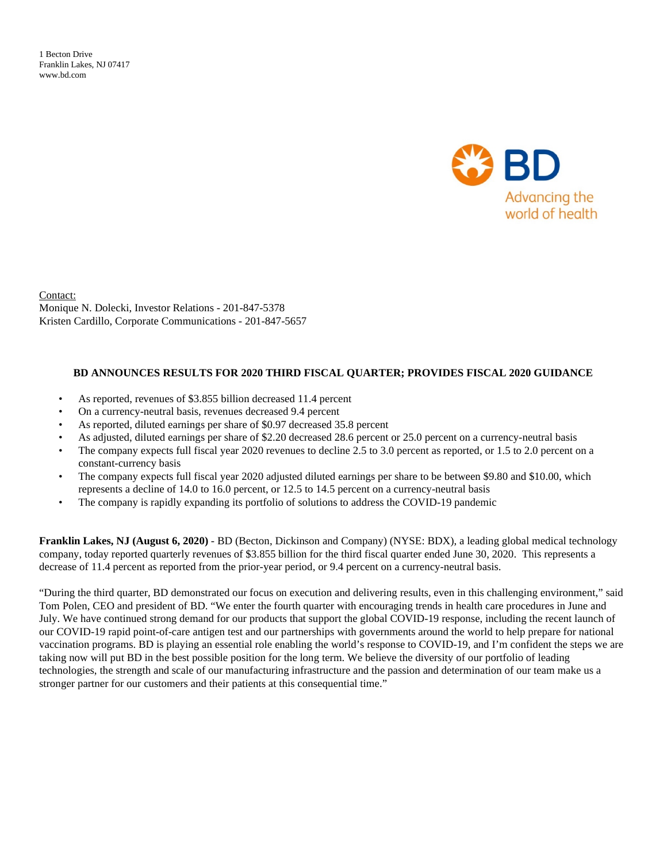1 Becton Drive Franklin Lakes, NJ 07417 www.bd.com



Contact: Monique N. Dolecki, Investor Relations - 201-847-5378 Kristen Cardillo, Corporate Communications - 201-847-5657

#### **BD ANNOUNCES RESULTS FOR 2020 THIRD FISCAL QUARTER; PROVIDES FISCAL 2020 GUIDANCE**

- As reported, revenues of \$3.855 billion decreased 11.4 percent
- On a currency-neutral basis, revenues decreased 9.4 percent
- As reported, diluted earnings per share of \$0.97 decreased 35.8 percent
- As adjusted, diluted earnings per share of \$2.20 decreased 28.6 percent or 25.0 percent on a currency-neutral basis
- The company expects full fiscal year 2020 revenues to decline 2.5 to 3.0 percent as reported, or 1.5 to 2.0 percent on a constant-currency basis
- The company expects full fiscal year 2020 adjusted diluted earnings per share to be between \$9.80 and \$10.00, which represents a decline of 14.0 to 16.0 percent, or 12.5 to 14.5 percent on a currency-neutral basis
- The company is rapidly expanding its portfolio of solutions to address the COVID-19 pandemic

**Franklin Lakes, NJ (August 6, 2020)** - BD (Becton, Dickinson and Company) (NYSE: BDX), a leading global medical technology company, today reported quarterly revenues of \$3.855 billion for the third fiscal quarter ended June 30, 2020. This represents a decrease of 11.4 percent as reported from the prior-year period, or 9.4 percent on a currency-neutral basis.

"During the third quarter, BD demonstrated our focus on execution and delivering results, even in this challenging environment," said Tom Polen, CEO and president of BD. "We enter the fourth quarter with encouraging trends in health care procedures in June and July. We have continued strong demand for our products that support the global COVID-19 response, including the recent launch of our COVID-19 rapid point-of-care antigen test and our partnerships with governments around the world to help prepare for national vaccination programs. BD is playing an essential role enabling the world's response to COVID-19, and I'm confident the steps we are taking now will put BD in the best possible position for the long term. We believe the diversity of our portfolio of leading technologies, the strength and scale of our manufacturing infrastructure and the passion and determination of our team make us a stronger partner for our customers and their patients at this consequential time."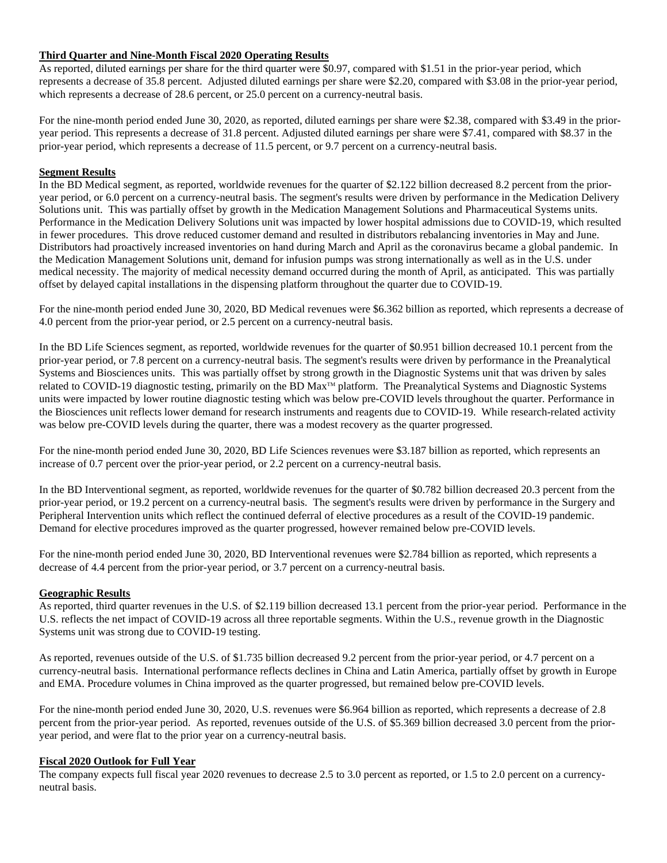## **Third Quarter and Nine-Month Fiscal 2020 Operating Results**

As reported, diluted earnings per share for the third quarter were \$0.97, compared with \$1.51 in the prior-year period, which represents a decrease of 35.8 percent. Adjusted diluted earnings per share were \$2.20, compared with \$3.08 in the prior-year period, which represents a decrease of 28.6 percent, or 25.0 percent on a currency-neutral basis.

For the nine-month period ended June 30, 2020, as reported, diluted earnings per share were \$2.38, compared with \$3.49 in the prioryear period. This represents a decrease of 31.8 percent. Adjusted diluted earnings per share were \$7.41, compared with \$8.37 in the prior-year period, which represents a decrease of 11.5 percent, or 9.7 percent on a currency-neutral basis.

## **Segment Results**

In the BD Medical segment, as reported, worldwide revenues for the quarter of \$2.122 billion decreased 8.2 percent from the prioryear period, or 6.0 percent on a currency-neutral basis. The segment's results were driven by performance in the Medication Delivery Solutions unit. This was partially offset by growth in the Medication Management Solutions and Pharmaceutical Systems units. Performance in the Medication Delivery Solutions unit was impacted by lower hospital admissions due to COVID-19, which resulted in fewer procedures. This drove reduced customer demand and resulted in distributors rebalancing inventories in May and June. Distributors had proactively increased inventories on hand during March and April as the coronavirus became a global pandemic. In the Medication Management Solutions unit, demand for infusion pumps was strong internationally as well as in the U.S. under medical necessity. The majority of medical necessity demand occurred during the month of April, as anticipated. This was partially offset by delayed capital installations in the dispensing platform throughout the quarter due to COVID-19.

For the nine-month period ended June 30, 2020, BD Medical revenues were \$6.362 billion as reported, which represents a decrease of 4.0 percent from the prior-year period, or 2.5 percent on a currency-neutral basis.

In the BD Life Sciences segment, as reported, worldwide revenues for the quarter of \$0.951 billion decreased 10.1 percent from the prior-year period, or 7.8 percent on a currency-neutral basis. The segment's results were driven by performance in the Preanalytical Systems and Biosciences units. This was partially offset by strong growth in the Diagnostic Systems unit that was driven by sales related to COVID-19 diagnostic testing, primarily on the BD Max™ platform. The Preanalytical Systems and Diagnostic Systems units were impacted by lower routine diagnostic testing which was below pre-COVID levels throughout the quarter. Performance in the Biosciences unit reflects lower demand for research instruments and reagents due to COVID-19. While research-related activity was below pre-COVID levels during the quarter, there was a modest recovery as the quarter progressed.

For the nine-month period ended June 30, 2020, BD Life Sciences revenues were \$3.187 billion as reported, which represents an increase of 0.7 percent over the prior-year period, or 2.2 percent on a currency-neutral basis.

In the BD Interventional segment, as reported, worldwide revenues for the quarter of \$0.782 billion decreased 20.3 percent from the prior-year period, or 19.2 percent on a currency-neutral basis. The segment's results were driven by performance in the Surgery and Peripheral Intervention units which reflect the continued deferral of elective procedures as a result of the COVID-19 pandemic. Demand for elective procedures improved as the quarter progressed, however remained below pre-COVID levels.

For the nine-month period ended June 30, 2020, BD Interventional revenues were \$2.784 billion as reported, which represents a decrease of 4.4 percent from the prior-year period, or 3.7 percent on a currency-neutral basis.

# **Geographic Results**

As reported, third quarter revenues in the U.S. of \$2.119 billion decreased 13.1 percent from the prior-year period. Performance in the U.S. reflects the net impact of COVID-19 across all three reportable segments. Within the U.S., revenue growth in the Diagnostic Systems unit was strong due to COVID-19 testing.

As reported, revenues outside of the U.S. of \$1.735 billion decreased 9.2 percent from the prior-year period, or 4.7 percent on a currency-neutral basis. International performance reflects declines in China and Latin America, partially offset by growth in Europe and EMA. Procedure volumes in China improved as the quarter progressed, but remained below pre-COVID levels.

For the nine-month period ended June 30, 2020, U.S. revenues were \$6.964 billion as reported, which represents a decrease of 2.8 percent from the prior-year period. As reported, revenues outside of the U.S. of \$5.369 billion decreased 3.0 percent from the prioryear period, and were flat to the prior year on a currency-neutral basis.

## **Fiscal 2020 Outlook for Full Year**

The company expects full fiscal year 2020 revenues to decrease 2.5 to 3.0 percent as reported, or 1.5 to 2.0 percent on a currencyneutral basis.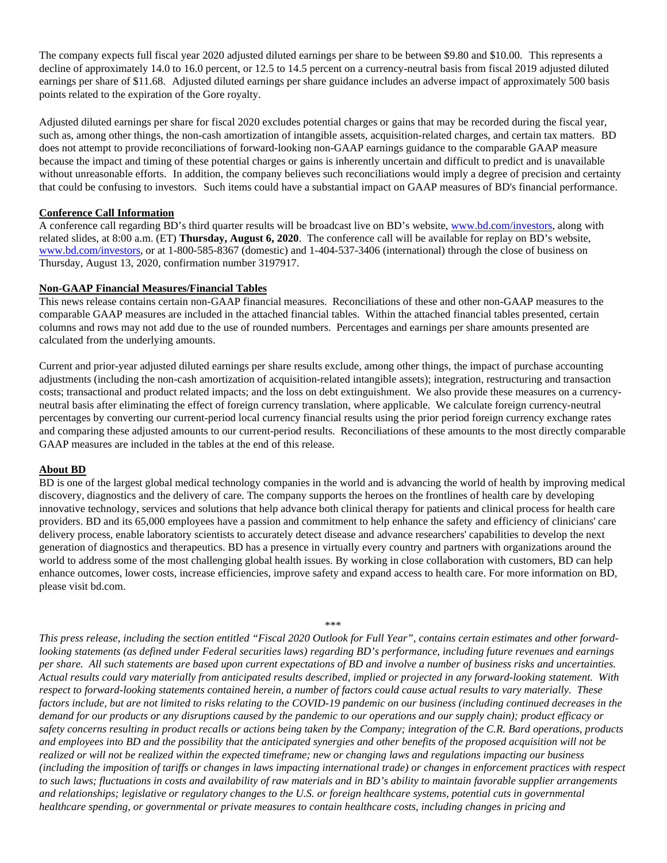The company expects full fiscal year 2020 adjusted diluted earnings per share to be between \$9.80 and \$10.00. This represents a decline of approximately 14.0 to 16.0 percent, or 12.5 to 14.5 percent on a currency-neutral basis from fiscal 2019 adjusted diluted earnings per share of \$11.68. Adjusted diluted earnings per share guidance includes an adverse impact of approximately 500 basis points related to the expiration of the Gore royalty.

Adjusted diluted earnings per share for fiscal 2020 excludes potential charges or gains that may be recorded during the fiscal year, such as, among other things, the non-cash amortization of intangible assets, acquisition-related charges, and certain tax matters. BD does not attempt to provide reconciliations of forward-looking non-GAAP earnings guidance to the comparable GAAP measure because the impact and timing of these potential charges or gains is inherently uncertain and difficult to predict and is unavailable without unreasonable efforts. In addition, the company believes such reconciliations would imply a degree of precision and certainty that could be confusing to investors. Such items could have a substantial impact on GAAP measures of BD's financial performance.

### **Conference Call Information**

A conference call regarding BD's third quarter results will be broadcast live on BD's website, www.bd.com/investors, along with related slides, at 8:00 a.m. (ET) **Thursday, August 6, 2020**. The conference call will be available for replay on BD's website, www.bd.com/investors, or at 1-800-585-8367 (domestic) and 1-404-537-3406 (international) through the close of business on Thursday, August 13, 2020, confirmation number 3197917.

#### **Non-GAAP Financial Measures/Financial Tables**

This news release contains certain non-GAAP financial measures. Reconciliations of these and other non-GAAP measures to the comparable GAAP measures are included in the attached financial tables. Within the attached financial tables presented, certain columns and rows may not add due to the use of rounded numbers. Percentages and earnings per share amounts presented are calculated from the underlying amounts.

Current and prior-year adjusted diluted earnings per share results exclude, among other things, the impact of purchase accounting adjustments (including the non-cash amortization of acquisition-related intangible assets); integration, restructuring and transaction costs; transactional and product related impacts; and the loss on debt extinguishment. We also provide these measures on a currencyneutral basis after eliminating the effect of foreign currency translation, where applicable. We calculate foreign currency-neutral percentages by converting our current-period local currency financial results using the prior period foreign currency exchange rates and comparing these adjusted amounts to our current-period results. Reconciliations of these amounts to the most directly comparable GAAP measures are included in the tables at the end of this release.

#### **About BD**

BD is one of the largest global medical technology companies in the world and is advancing the world of health by improving medical discovery, diagnostics and the delivery of care. The company supports the heroes on the frontlines of health care by developing innovative technology, services and solutions that help advance both clinical therapy for patients and clinical process for health care providers. BD and its 65,000 employees have a passion and commitment to help enhance the safety and efficiency of clinicians' care delivery process, enable laboratory scientists to accurately detect disease and advance researchers' capabilities to develop the next generation of diagnostics and therapeutics. BD has a presence in virtually every country and partners with organizations around the world to address some of the most challenging global health issues. By working in close collaboration with customers, BD can help enhance outcomes, lower costs, increase efficiencies, improve safety and expand access to health care. For more information on BD, please visit bd.com.

\*\*\*

*This press release, including the section entitled "Fiscal 2020 Outlook for Full Year", contains certain estimates and other forwardlooking statements (as defined under Federal securities laws) regarding BD's performance, including future revenues and earnings per share. All such statements are based upon current expectations of BD and involve a number of business risks and uncertainties. Actual results could vary materially from anticipated results described, implied or projected in any forward-looking statement. With respect to forward-looking statements contained herein, a number of factors could cause actual results to vary materially. These factors include, but are not limited to risks relating to the COVID-19 pandemic on our business (including continued decreases in the demand for our products or any disruptions caused by the pandemic to our operations and our supply chain); product efficacy or safety concerns resulting in product recalls or actions being taken by the Company; integration of the C.R. Bard operations, products and employees into BD and the possibility that the anticipated synergies and other benefits of the proposed acquisition will not be realized or will not be realized within the expected timeframe; new or changing laws and regulations impacting our business (including the imposition of tariffs or changes in laws impacting international trade) or changes in enforcement practices with respect to such laws; fluctuations in costs and availability of raw materials and in BD's ability to maintain favorable supplier arrangements and relationships; legislative or regulatory changes to the U.S. or foreign healthcare systems, potential cuts in governmental healthcare spending, or governmental or private measures to contain healthcare costs, including changes in pricing and*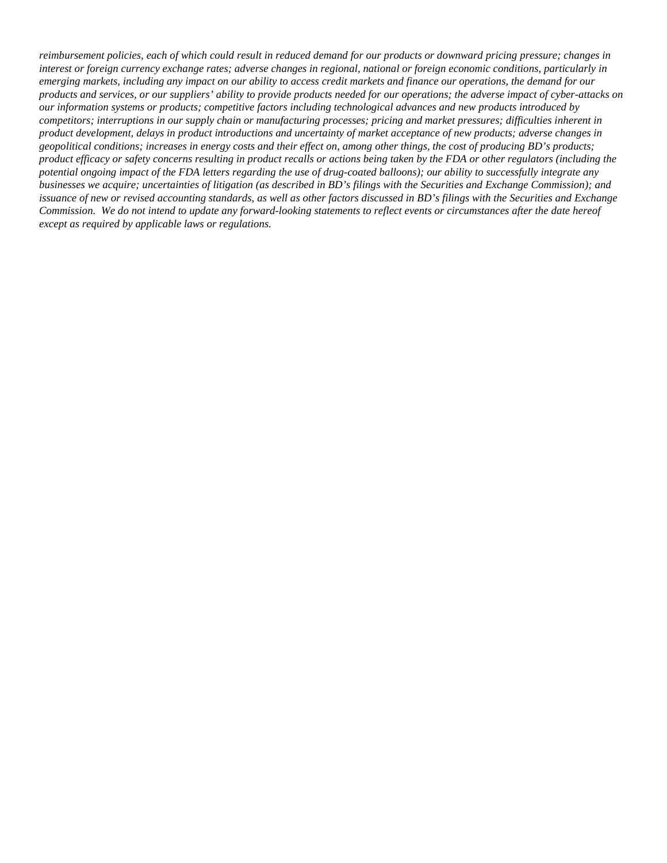*reimbursement policies, each of which could result in reduced demand for our products or downward pricing pressure; changes in interest or foreign currency exchange rates; adverse changes in regional, national or foreign economic conditions, particularly in emerging markets, including any impact on our ability to access credit markets and finance our operations, the demand for our products and services, or our suppliers' ability to provide products needed for our operations; the adverse impact of cyber-attacks on our information systems or products; competitive factors including technological advances and new products introduced by competitors; interruptions in our supply chain or manufacturing processes; pricing and market pressures; difficulties inherent in product development, delays in product introductions and uncertainty of market acceptance of new products; adverse changes in geopolitical conditions; increases in energy costs and their effect on, among other things, the cost of producing BD's products; product efficacy or safety concerns resulting in product recalls or actions being taken by the FDA or other regulators (including the potential ongoing impact of the FDA letters regarding the use of drug-coated balloons); our ability to successfully integrate any businesses we acquire; uncertainties of litigation (as described in BD's filings with the Securities and Exchange Commission); and issuance of new or revised accounting standards, as well as other factors discussed in BD's filings with the Securities and Exchange Commission. We do not intend to update any forward-looking statements to reflect events or circumstances after the date hereof except as required by applicable laws or regulations.*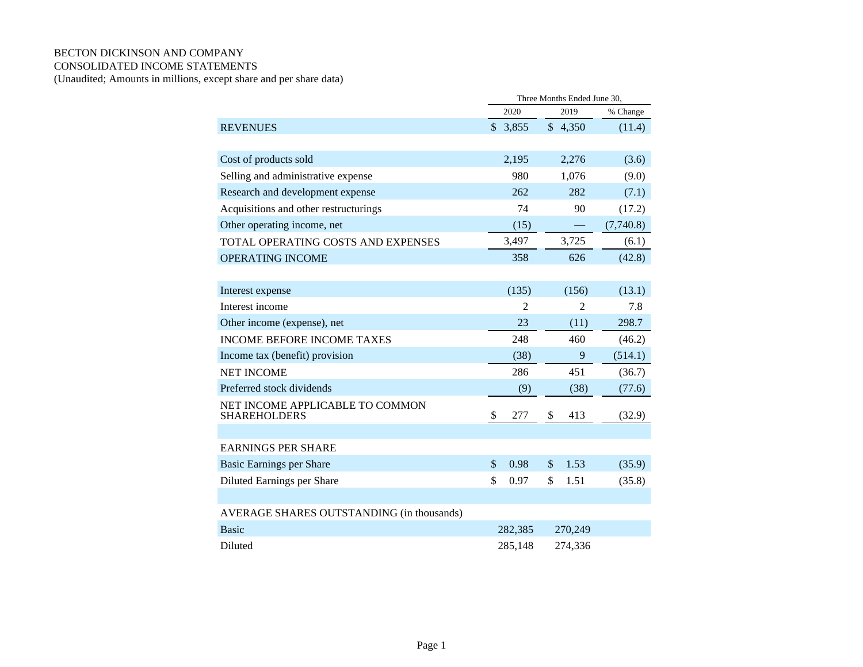## BECTON DICKINSON AND COMPANY CONSOLIDATED INCOME STATEMENTS

(Unaudited; Amounts in millions, except share and per share data)

|                                                        | Three Months Ended June 30, |                |               |                |           |  |
|--------------------------------------------------------|-----------------------------|----------------|---------------|----------------|-----------|--|
|                                                        |                             | 2020           |               | 2019           | % Change  |  |
| <b>REVENUES</b>                                        |                             | \$3,855        |               | \$4,350        | (11.4)    |  |
|                                                        |                             |                |               |                |           |  |
| Cost of products sold                                  |                             | 2,195          |               | 2,276          | (3.6)     |  |
| Selling and administrative expense                     |                             | 980            |               | 1,076          | (9.0)     |  |
| Research and development expense                       |                             | 262            |               | 282            | (7.1)     |  |
| Acquisitions and other restructurings                  |                             | 74             |               | 90             | (17.2)    |  |
| Other operating income, net                            |                             | (15)           |               |                | (7,740.8) |  |
| TOTAL OPERATING COSTS AND EXPENSES                     |                             | 3,497          |               | 3,725          | (6.1)     |  |
| <b>OPERATING INCOME</b>                                |                             | 358            |               | 626            | (42.8)    |  |
|                                                        |                             |                |               |                |           |  |
| Interest expense                                       |                             | (135)          |               | (156)          | (13.1)    |  |
| Interest income                                        |                             | $\overline{2}$ |               | $\overline{2}$ | 7.8       |  |
| Other income (expense), net                            |                             | 23             |               | (11)           | 298.7     |  |
| <b>INCOME BEFORE INCOME TAXES</b>                      |                             | 248            |               | 460            | (46.2)    |  |
| Income tax (benefit) provision                         |                             | (38)           |               | 9              | (514.1)   |  |
| <b>NET INCOME</b>                                      |                             | 286            |               | 451            | (36.7)    |  |
| Preferred stock dividends                              |                             | (9)            |               | (38)           | (77.6)    |  |
| NET INCOME APPLICABLE TO COMMON<br><b>SHAREHOLDERS</b> | \$                          | 277            | \$            | 413            | (32.9)    |  |
|                                                        |                             |                |               |                |           |  |
| <b>EARNINGS PER SHARE</b>                              |                             |                |               |                |           |  |
| Basic Earnings per Share                               | \$                          | 0.98           | $\mathcal{S}$ | 1.53           | (35.9)    |  |
| Diluted Earnings per Share                             | \$                          | 0.97           | \$            | 1.51           | (35.8)    |  |
|                                                        |                             |                |               |                |           |  |
| AVERAGE SHARES OUTSTANDING (in thousands)              |                             |                |               |                |           |  |
| <b>Basic</b>                                           |                             | 282,385        |               | 270,249        |           |  |
| Diluted                                                |                             | 285,148        |               | 274,336        |           |  |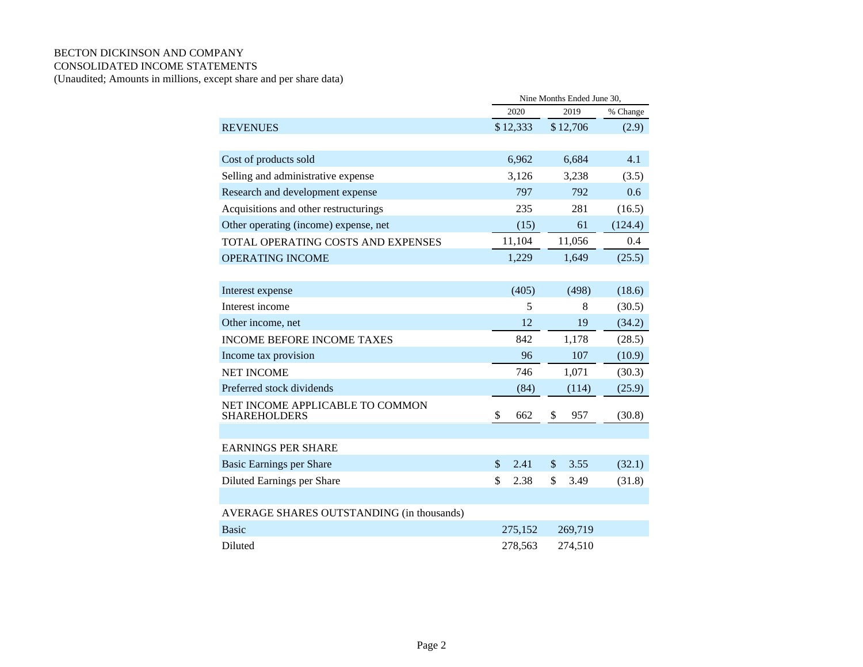## BECTON DICKINSON AND COMPANY CONSOLIDATED INCOME STATEMENTS

(Unaudited; Amounts in millions, except share and per share data)

|                                                        | Nine Months Ended June 30, |          |               |          |          |  |
|--------------------------------------------------------|----------------------------|----------|---------------|----------|----------|--|
|                                                        |                            | 2020     |               | 2019     | % Change |  |
| <b>REVENUES</b>                                        |                            | \$12,333 |               | \$12,706 | (2.9)    |  |
|                                                        |                            |          |               |          |          |  |
| Cost of products sold                                  |                            | 6,962    |               | 6,684    | 4.1      |  |
| Selling and administrative expense                     |                            | 3,126    |               | 3,238    | (3.5)    |  |
| Research and development expense                       |                            | 797      |               | 792      | 0.6      |  |
| Acquisitions and other restructurings                  |                            | 235      |               | 281      | (16.5)   |  |
| Other operating (income) expense, net                  |                            | (15)     |               | 61       | (124.4)  |  |
| TOTAL OPERATING COSTS AND EXPENSES                     |                            | 11,104   |               | 11,056   | 0.4      |  |
| <b>OPERATING INCOME</b>                                |                            | 1,229    |               | 1,649    | (25.5)   |  |
|                                                        |                            |          |               |          |          |  |
| Interest expense                                       |                            | (405)    |               | (498)    | (18.6)   |  |
| Interest income                                        |                            | 5        |               | 8        | (30.5)   |  |
| Other income, net                                      |                            | 12       |               | 19       | (34.2)   |  |
| <b>INCOME BEFORE INCOME TAXES</b>                      |                            | 842      |               | 1,178    | (28.5)   |  |
| Income tax provision                                   |                            | 96       |               | 107      | (10.9)   |  |
| <b>NET INCOME</b>                                      |                            | 746      |               | 1,071    | (30.3)   |  |
| Preferred stock dividends                              |                            | (84)     |               | (114)    | (25.9)   |  |
| NET INCOME APPLICABLE TO COMMON<br><b>SHAREHOLDERS</b> | \$                         | 662      | \$            | 957      | (30.8)   |  |
|                                                        |                            |          |               |          |          |  |
| <b>EARNINGS PER SHARE</b>                              |                            |          |               |          |          |  |
| <b>Basic Earnings per Share</b>                        | $\mathbb{S}$               | 2.41     | $\mathcal{S}$ | 3.55     | (32.1)   |  |
| Diluted Earnings per Share                             | \$                         | 2.38     | \$            | 3.49     | (31.8)   |  |
|                                                        |                            |          |               |          |          |  |
| AVERAGE SHARES OUTSTANDING (in thousands)              |                            |          |               |          |          |  |
| <b>Basic</b>                                           |                            | 275,152  |               | 269,719  |          |  |
| Diluted                                                |                            | 278,563  |               | 274,510  |          |  |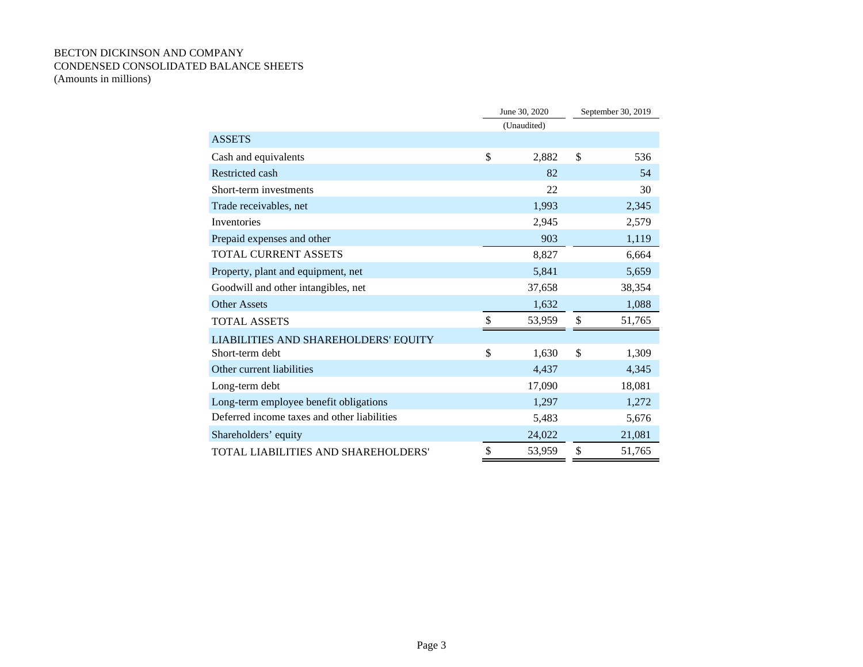## BECTON DICKINSON AND COMPANY CONDENSED CONSOLIDATED BALANCE SHEETS (Amounts in millions)

|                                             | June 30, 2020 |        | September 30, 2019 |        |
|---------------------------------------------|---------------|--------|--------------------|--------|
|                                             | (Unaudited)   |        |                    |        |
| <b>ASSETS</b>                               |               |        |                    |        |
| Cash and equivalents                        | \$            | 2,882  | \$                 | 536    |
| Restricted cash                             |               | 82     |                    | 54     |
| Short-term investments                      |               | 22     |                    | 30     |
| Trade receivables, net                      |               | 1,993  |                    | 2,345  |
| Inventories                                 |               | 2,945  |                    | 2,579  |
| Prepaid expenses and other                  |               | 903    |                    | 1,119  |
| <b>TOTAL CURRENT ASSETS</b>                 |               | 8,827  |                    | 6,664  |
| Property, plant and equipment, net          |               | 5,841  |                    | 5,659  |
| Goodwill and other intangibles, net         |               | 37,658 |                    | 38,354 |
| <b>Other Assets</b>                         |               | 1,632  |                    | 1,088  |
| <b>TOTAL ASSETS</b>                         | \$            | 53,959 | \$                 | 51,765 |
| <b>LIABILITIES AND SHAREHOLDERS' EQUITY</b> |               |        |                    |        |
| Short-term debt                             | \$            | 1,630  | \$                 | 1,309  |
| Other current liabilities                   |               | 4,437  |                    | 4,345  |
| Long-term debt                              |               | 17,090 |                    | 18,081 |
| Long-term employee benefit obligations      |               | 1,297  |                    | 1,272  |
| Deferred income taxes and other liabilities |               | 5,483  |                    | 5,676  |
| Shareholders' equity                        |               | 24,022 |                    | 21,081 |
| TOTAL LIABILITIES AND SHAREHOLDERS'         | \$            | 53,959 | \$                 | 51,765 |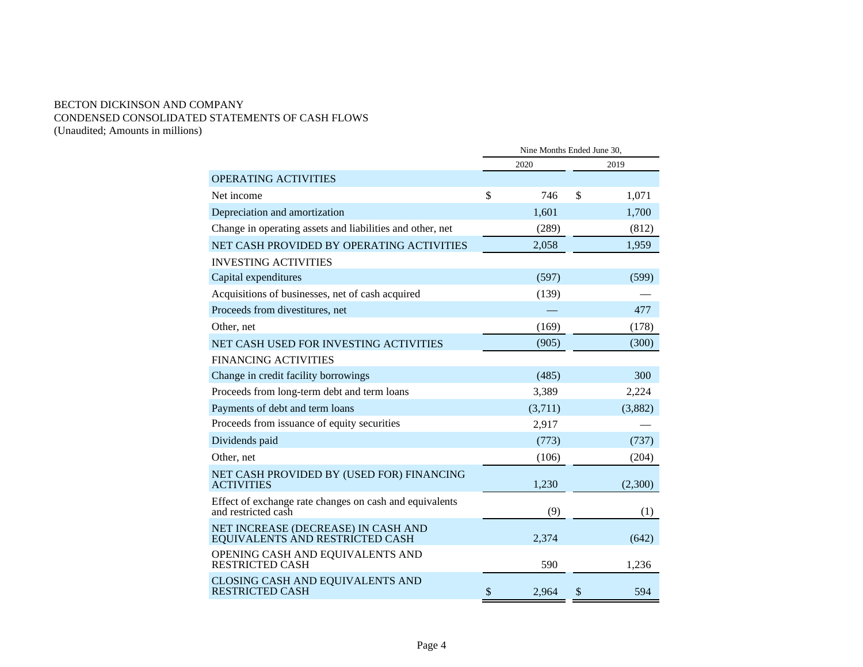## BECTON DICKINSON AND COMPANY CONDENSED CONSOLIDATED STATEMENTS OF CASH FLOWS (Unaudited; Amounts in millions)

|                                                                                | Nine Months Ended June 30, |         |    |         |  |  |
|--------------------------------------------------------------------------------|----------------------------|---------|----|---------|--|--|
|                                                                                |                            | 2020    |    | 2019    |  |  |
| <b>OPERATING ACTIVITIES</b>                                                    |                            |         |    |         |  |  |
| Net income                                                                     | \$                         | 746     | \$ | 1,071   |  |  |
| Depreciation and amortization                                                  |                            | 1,601   |    | 1,700   |  |  |
| Change in operating assets and liabilities and other, net                      |                            | (289)   |    | (812)   |  |  |
| NET CASH PROVIDED BY OPERATING ACTIVITIES                                      |                            | 2,058   |    | 1,959   |  |  |
| <b>INVESTING ACTIVITIES</b>                                                    |                            |         |    |         |  |  |
| Capital expenditures                                                           |                            | (597)   |    | (599)   |  |  |
| Acquisitions of businesses, net of cash acquired                               |                            | (139)   |    |         |  |  |
| Proceeds from divestitures, net                                                |                            |         |    | 477     |  |  |
| Other, net                                                                     |                            | (169)   |    | (178)   |  |  |
| NET CASH USED FOR INVESTING ACTIVITIES                                         |                            | (905)   |    | (300)   |  |  |
| <b>FINANCING ACTIVITIES</b>                                                    |                            |         |    |         |  |  |
| Change in credit facility borrowings                                           |                            | (485)   |    | 300     |  |  |
| Proceeds from long-term debt and term loans                                    |                            | 3,389   |    | 2,224   |  |  |
| Payments of debt and term loans                                                |                            | (3,711) |    | (3,882) |  |  |
| Proceeds from issuance of equity securities                                    |                            | 2,917   |    |         |  |  |
| Dividends paid                                                                 |                            | (773)   |    | (737)   |  |  |
| Other, net                                                                     |                            | (106)   |    | (204)   |  |  |
| NET CASH PROVIDED BY (USED FOR) FINANCING<br><b>ACTIVITIES</b>                 |                            | 1,230   |    | (2,300) |  |  |
| Effect of exchange rate changes on cash and equivalents<br>and restricted cash |                            | (9)     |    | (1)     |  |  |
| NET INCREASE (DECREASE) IN CASH AND<br>EQUIVALENTS AND RESTRICTED CASH         |                            | 2,374   |    | (642)   |  |  |
| OPENING CASH AND EQUIVALENTS AND<br><b>RESTRICTED CASH</b>                     |                            | 590     |    | 1,236   |  |  |
| CLOSING CASH AND EQUIVALENTS AND<br><b>RESTRICTED CASH</b>                     | $\mathcal{S}$              | 2,964   | S  | 594     |  |  |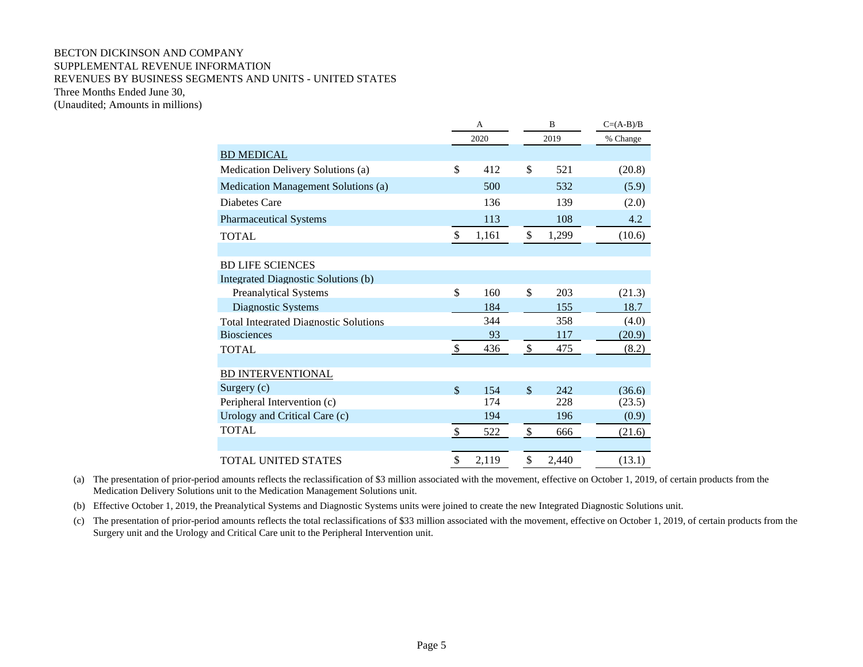### BECTON DICKINSON AND COMPANY SUPPLEMENTAL REVENUE INFORMATION REVENUES BY BUSINESS SEGMENTS AND UNITS - UNITED STATES Three Months Ended June 30, (Unaudited; Amounts in millions)

A B  $C=(A-B)/B$  2020 2019 % Change BD MEDICAL Medication Delivery Solutions (a)  $$ 412 \t$ 521$  (20.8) Medication Management Solutions (a) 500 532 (5.9) Diabetes Care 136 139 (2.0) Pharmaceutical Systems 113 108 4.2 TOTAL \$ 1,161 \$ 1,299 (10.6) BD LIFE SCIENCES Integrated Diagnostic Solutions (b) Preanalytical Systems  $\qquad$  \$ 160 \$ 203 (21.3) Diagnostic Systems 184 155 18.7 Total Integrated Diagnostic Solutions 344 358 (4.0) Biosciences  $\frac{93}{2}$  117 (20.9) TOTAL 6.2) BD INTERVENTIONAL Surgery (c)  $$ 154 \t $ 242 \t (36.6)$ Peripheral Intervention (c) 174 228 (23.5) Urology and Critical Care (c) 194 196 (0.9) TOTAL  $\frac{\$}{\$}$   $\frac{522}{\$}$   $\frac{\$}{\$}$   $\frac{666}{\$}$   $\frac{21.6}{\$}$ TOTAL UNITED STATES  $$ 2,119 \t $ 2,440 \t (13.1)$ 

(a) The presentation of prior-period amounts reflects the reclassification of \$3 million associated with the movement, effective on October 1, 2019, of certain products from the Medication Delivery Solutions unit to the Medication Management Solutions unit.

(b) Effective October 1, 2019, the Preanalytical Systems and Diagnostic Systems units were joined to create the new Integrated Diagnostic Solutions unit.

(c) The presentation of prior-period amounts reflects the total reclassifications of \$33 million associated with the movement, effective on October 1, 2019, of certain products from the Surgery unit and the Urology and Critical Care unit to the Peripheral Intervention unit.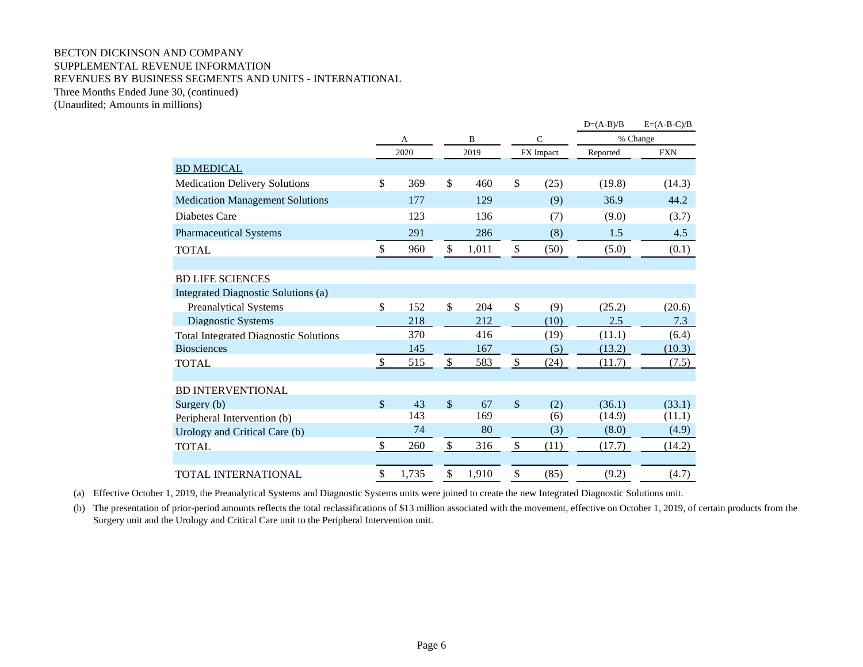## BECTON DICKINSON AND COMPANY SUPPLEMENTAL REVENUE INFORMATION REVENUES BY BUSINESS SEGMENTS AND UNITS - INTERNATIONAL Three Months Ended June 30, (continued)

(Unaudited; Amounts in millions)

|                                              |              |       |               |          |                           |              | $D=(A-B)/B$ | $E=(A-B-C)/B$ |  |
|----------------------------------------------|--------------|-------|---------------|----------|---------------------------|--------------|-------------|---------------|--|
|                                              |              | A     |               | $\bf{B}$ |                           | $\mathsf{C}$ |             | % Change      |  |
|                                              |              | 2020  |               | 2019     |                           | FX Impact    | Reported    | <b>FXN</b>    |  |
| <b>BD MEDICAL</b>                            |              |       |               |          |                           |              |             |               |  |
| <b>Medication Delivery Solutions</b>         | $\mathbb{S}$ | 369   | \$            | 460      | \$                        | (25)         | (19.8)      | (14.3)        |  |
| <b>Medication Management Solutions</b>       |              | 177   |               | 129      |                           | (9)          | 36.9        | 44.2          |  |
| Diabetes Care                                |              | 123   |               | 136      |                           | (7)          | (9.0)       | (3.7)         |  |
| <b>Pharmaceutical Systems</b>                |              | 291   |               | 286      |                           | (8)          | 1.5         | 4.5           |  |
| <b>TOTAL</b>                                 | \$           | 960   | \$            | 1,011    | \$                        | (50)         | (5.0)       | (0.1)         |  |
|                                              |              |       |               |          |                           |              |             |               |  |
| <b>BD LIFE SCIENCES</b>                      |              |       |               |          |                           |              |             |               |  |
| Integrated Diagnostic Solutions (a)          |              |       |               |          |                           |              |             |               |  |
| <b>Preanalytical Systems</b>                 | \$           | 152   | $\mathcal{S}$ | 204      | $\mathbb{S}$              | (9)          | (25.2)      | (20.6)        |  |
| Diagnostic Systems                           |              | 218   |               | 212      |                           | (10)         | 2.5         | 7.3           |  |
| <b>Total Integrated Diagnostic Solutions</b> |              | 370   |               | 416      |                           | (19)         | (11.1)      | (6.4)         |  |
| <b>Biosciences</b>                           |              | 145   |               | 167      |                           | (5)          | (13.2)      | (10.3)        |  |
| <b>TOTAL</b>                                 | $\mathbb{S}$ | 515   | \$            | 583      | \$                        | (24)         | (11.7)      | (7.5)         |  |
|                                              |              |       |               |          |                           |              |             |               |  |
| <b>BD INTERVENTIONAL</b>                     |              |       |               |          |                           |              |             |               |  |
| Surgery (b)                                  | $\mathbb{S}$ | 43    | $\mathbb{S}$  | 67       | $\mathsf{\$}$             | (2)          | (36.1)      | (33.1)        |  |
| Peripheral Intervention (b)                  |              | 143   |               | 169      |                           | (6)          | (14.9)      | (11.1)        |  |
| Urology and Critical Care (b)                |              | 74    |               | 80       |                           | (3)          | (8.0)       | (4.9)         |  |
| <b>TOTAL</b>                                 | \$           | 260   | \$            | 316      | $\boldsymbol{\mathsf{S}}$ | (11)         | (17.7)      | (14.2)        |  |
|                                              |              |       |               |          |                           |              |             |               |  |
| TOTAL INTERNATIONAL                          | \$           | 1,735 | \$            | 1,910    | \$                        | (85)         | (9.2)       | (4.7)         |  |

(a) Effective October 1, 2019, the Preanalytical Systems and Diagnostic Systems units were joined to create the new Integrated Diagnostic Solutions unit.

(b) The presentation of prior-period amounts reflects the total reclassifications of \$13 million associated with the movement, effective on October 1, 2019, of certain products from the Surgery unit and the Urology and Critical Care unit to the Peripheral Intervention unit.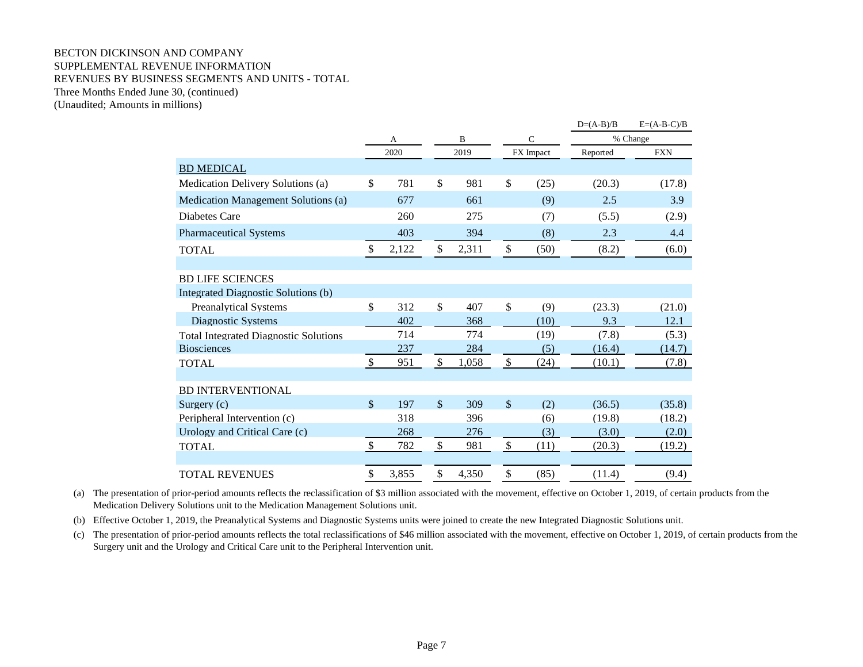### BECTON DICKINSON AND COMPANY SUPPLEMENTAL REVENUE INFORMATION REVENUES BY BUSINESS SEGMENTS AND UNITS - TOTAL Three Months Ended June 30, (continued) (Unaudited; Amounts in millions)

 $D=(A-B)/B$   $E=(A-B-C)/B$ A B C % Change 2020 2019 FX Impact Reported FXN BD MEDICAL Medication Delivery Solutions (a) \$ 781 \$ 981 \$ (25) (20.3) (17.8) Medication Management Solutions (a)  $677$  661 (9) 2.5 3.9 Diabetes Care 260 275 (7) (5.5) (2.9) Pharmaceutical Systems 403 403 394 (8) 2.3 4.4 TOTAL  $\qquad \qquad$  \$ 2,122 \$ 2,311 \$ (50) (8.2) (6.0) BD LIFE SCIENCES Integrated Diagnostic Solutions (b) Preanalytical Systems  $\begin{array}{cccc} \text{5} & 312 & \text{5} & 407 & \text{5} & (9) & (23.3) & (21.0) \\ \end{array}$ Diagnostic Systems 402 368 (10) 9.3 12.1 Total Integrated Diagnostic Solutions 714 774 (19) (7.8) (5.3) Biosciences 237 284 (5) (16.4) (14.7) TOTAL 5 951 \$ 1,058 \$ (24) (10.1) (7.8) BD INTERVENTIONAL Surgery (c)  $$ 197 \quad $ 309 \quad $ (2) \quad (36.5) \quad (35.8)$ Peripheral Intervention (c) 318 396 (6) (19.8) (18.2) Urology and Critical Care (c)  $268$   $276$  (3)  $(3.0)$  (2.0) TOTAL 5 782 \$ 981 \$ (11) (20.3) (19.2) TOTAL REVENUES \$ 3,855 \$ 4,350 \$ (85) (11.4) (9.4)

(a) The presentation of prior-period amounts reflects the reclassification of \$3 million associated with the movement, effective on October 1, 2019, of certain products from the Medication Delivery Solutions unit to the Medication Management Solutions unit.

(b) Effective October 1, 2019, the Preanalytical Systems and Diagnostic Systems units were joined to create the new Integrated Diagnostic Solutions unit.

(c) The presentation of prior-period amounts reflects the total reclassifications of \$46 million associated with the movement, effective on October 1, 2019, of certain products from the Surgery unit and the Urology and Critical Care unit to the Peripheral Intervention unit.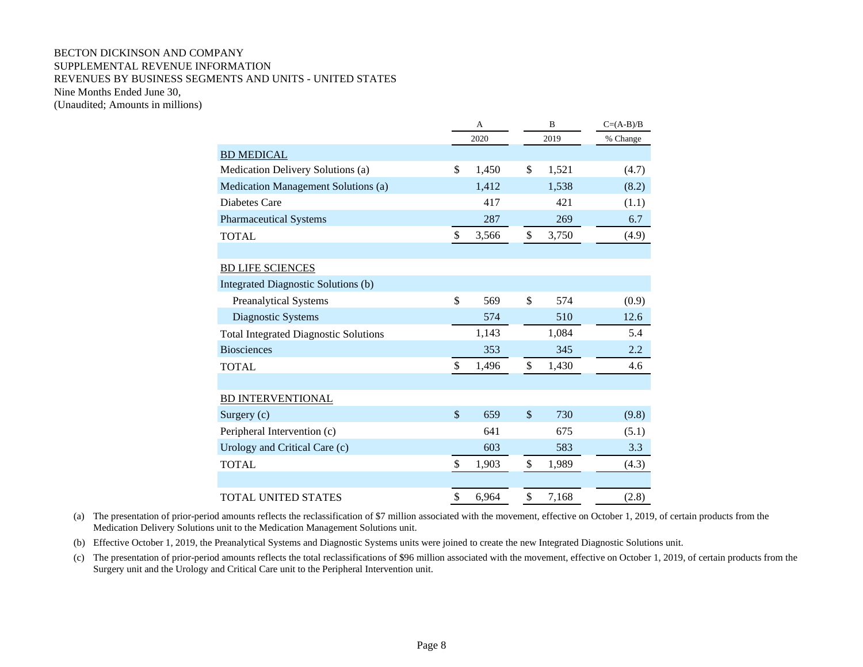## BECTON DICKINSON AND COMPANY SUPPLEMENTAL REVENUE INFORMATION REVENUES BY BUSINESS SEGMENTS AND UNITS - UNITED STATES Nine Months Ended June 30, (Unaudited; Amounts in millions)

|                                              |               | A     |               | B     | $C=(A-B)/B$ |  |
|----------------------------------------------|---------------|-------|---------------|-------|-------------|--|
|                                              |               | 2020  |               | 2019  | % Change    |  |
| <b>BD MEDICAL</b>                            |               |       |               |       |             |  |
| Medication Delivery Solutions (a)            | \$            | 1,450 | \$            | 1,521 | (4.7)       |  |
| Medication Management Solutions (a)          |               | 1,412 |               | 1,538 | (8.2)       |  |
| Diabetes Care                                |               | 417   |               | 421   | (1.1)       |  |
| <b>Pharmaceutical Systems</b>                |               | 287   |               | 269   | 6.7         |  |
| <b>TOTAL</b>                                 | $\mathbb{S}$  | 3,566 | $\$$          | 3,750 | (4.9)       |  |
|                                              |               |       |               |       |             |  |
| <b>BD LIFE SCIENCES</b>                      |               |       |               |       |             |  |
| Integrated Diagnostic Solutions (b)          |               |       |               |       |             |  |
| Preanalytical Systems                        | \$            | 569   | \$            | 574   | (0.9)       |  |
| Diagnostic Systems                           |               | 574   |               | 510   | 12.6        |  |
| <b>Total Integrated Diagnostic Solutions</b> |               | 1,143 |               | 1,084 | 5.4         |  |
| <b>Biosciences</b>                           |               | 353   |               | 345   | 2.2         |  |
| <b>TOTAL</b>                                 | \$            | 1,496 | \$            | 1,430 | 4.6         |  |
|                                              |               |       |               |       |             |  |
| <b>BD INTERVENTIONAL</b>                     |               |       |               |       |             |  |
| Surgery (c)                                  | $\mathcal{S}$ | 659   | $\mathcal{S}$ | 730   | (9.8)       |  |
| Peripheral Intervention (c)                  |               | 641   |               | 675   | (5.1)       |  |
| Urology and Critical Care (c)                |               | 603   |               | 583   | 3.3         |  |
| <b>TOTAL</b>                                 | \$            | 1,903 | \$            | 1,989 | (4.3)       |  |
|                                              |               |       |               |       |             |  |
| <b>TOTAL UNITED STATES</b>                   | \$            | 6,964 | \$            | 7,168 | (2.8)       |  |

(a) The presentation of prior-period amounts reflects the reclassification of \$7 million associated with the movement, effective on October 1, 2019, of certain products from the Medication Delivery Solutions unit to the Medication Management Solutions unit.

(b) Effective October 1, 2019, the Preanalytical Systems and Diagnostic Systems units were joined to create the new Integrated Diagnostic Solutions unit.

(c) The presentation of prior-period amounts reflects the total reclassifications of \$96 million associated with the movement, effective on October 1, 2019, of certain products from the Surgery unit and the Urology and Critical Care unit to the Peripheral Intervention unit.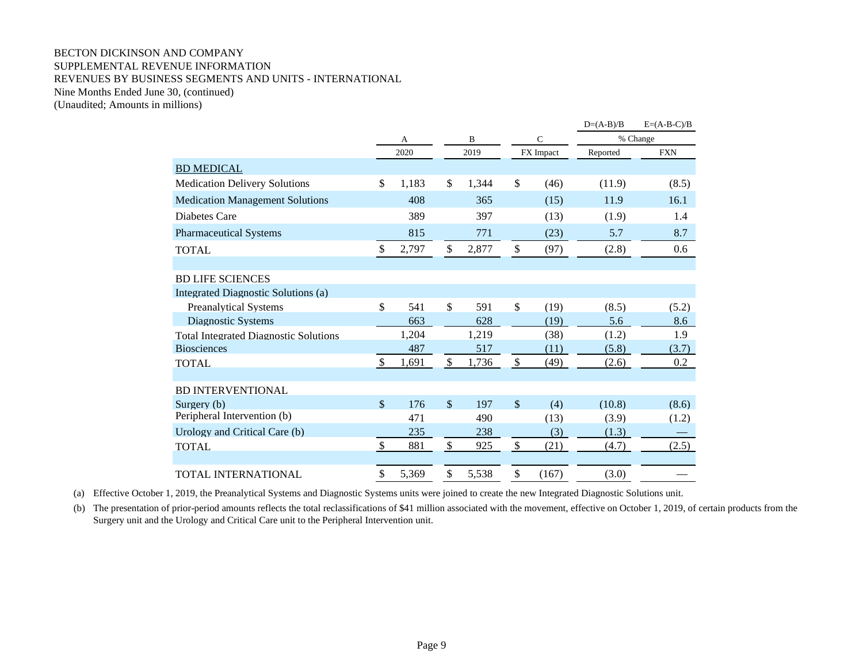## BECTON DICKINSON AND COMPANY SUPPLEMENTAL REVENUE INFORMATION REVENUES BY BUSINESS SEGMENTS AND UNITS - INTERNATIONAL Nine Months Ended June 30, (continued)

(Unaudited; Amounts in millions)

|                                              |              |       |                    |       |                           |              | $D=(A-B)/B$ | $E=(A-B-C)/B$ |  |
|----------------------------------------------|--------------|-------|--------------------|-------|---------------------------|--------------|-------------|---------------|--|
|                                              |              | A     |                    | B     |                           | $\mathsf{C}$ |             | % Change      |  |
|                                              |              | 2020  |                    | 2019  |                           | FX Impact    | Reported    | <b>FXN</b>    |  |
| <b>BD MEDICAL</b>                            |              |       |                    |       |                           |              |             |               |  |
| <b>Medication Delivery Solutions</b>         | $\mathbb{S}$ | 1,183 | \$                 | 1,344 | \$                        | (46)         | (11.9)      | (8.5)         |  |
| <b>Medication Management Solutions</b>       |              | 408   |                    | 365   |                           | (15)         | 11.9        | 16.1          |  |
| Diabetes Care                                |              | 389   |                    | 397   |                           | (13)         | (1.9)       | 1.4           |  |
| <b>Pharmaceutical Systems</b>                |              | 815   |                    | 771   |                           | (23)         | 5.7         | 8.7           |  |
| <b>TOTAL</b>                                 | \$           | 2,797 | \$                 | 2,877 | $\boldsymbol{\mathsf{S}}$ | (97)         | (2.8)       | 0.6           |  |
|                                              |              |       |                    |       |                           |              |             |               |  |
| <b>BD LIFE SCIENCES</b>                      |              |       |                    |       |                           |              |             |               |  |
| Integrated Diagnostic Solutions (a)          |              |       |                    |       |                           |              |             |               |  |
| <b>Preanalytical Systems</b>                 | $\mathbb{S}$ | 541   | $\mathbf{\hat{S}}$ | 591   | $\mathbb{S}$              | (19)         | (8.5)       | (5.2)         |  |
| Diagnostic Systems                           |              | 663   |                    | 628   |                           | (19)         | 5.6         | 8.6           |  |
| <b>Total Integrated Diagnostic Solutions</b> |              | 1,204 |                    | 1,219 |                           | (38)         | (1.2)       | 1.9           |  |
| <b>Biosciences</b>                           |              | 487   |                    | 517   |                           | (11)         | (5.8)       | (3.7)         |  |
| <b>TOTAL</b>                                 | $\mathbb{S}$ | 1,691 | $\mathbb{S}$       | 1,736 | $\mathbb{S}$              | (49)         | (2.6)       | 0.2           |  |
|                                              |              |       |                    |       |                           |              |             |               |  |
| <b>BD INTERVENTIONAL</b>                     |              |       |                    |       |                           |              |             |               |  |
| Surgery (b)                                  | $\mathbb{S}$ | 176   | $\mathcal{S}$      | 197   | $\mathcal{S}$             | (4)          | (10.8)      | (8.6)         |  |
| Peripheral Intervention (b)                  |              | 471   |                    | 490   |                           | (13)         | (3.9)       | (1.2)         |  |
| Urology and Critical Care (b)                |              | 235   |                    | 238   |                           | (3)          | (1.3)       |               |  |
| <b>TOTAL</b>                                 | \$           | 881   | \$                 | 925   | $\boldsymbol{\mathsf{S}}$ | (21)         | (4.7)       | (2.5)         |  |
| TOTAL INTERNATIONAL                          | \$           | 5,369 | \$                 | 5,538 | \$                        | (167)        | (3.0)       |               |  |
|                                              |              |       |                    |       |                           |              |             |               |  |

(a) Effective October 1, 2019, the Preanalytical Systems and Diagnostic Systems units were joined to create the new Integrated Diagnostic Solutions unit.

(b) The presentation of prior-period amounts reflects the total reclassifications of \$41 million associated with the movement, effective on October 1, 2019, of certain products from the Surgery unit and the Urology and Critical Care unit to the Peripheral Intervention unit.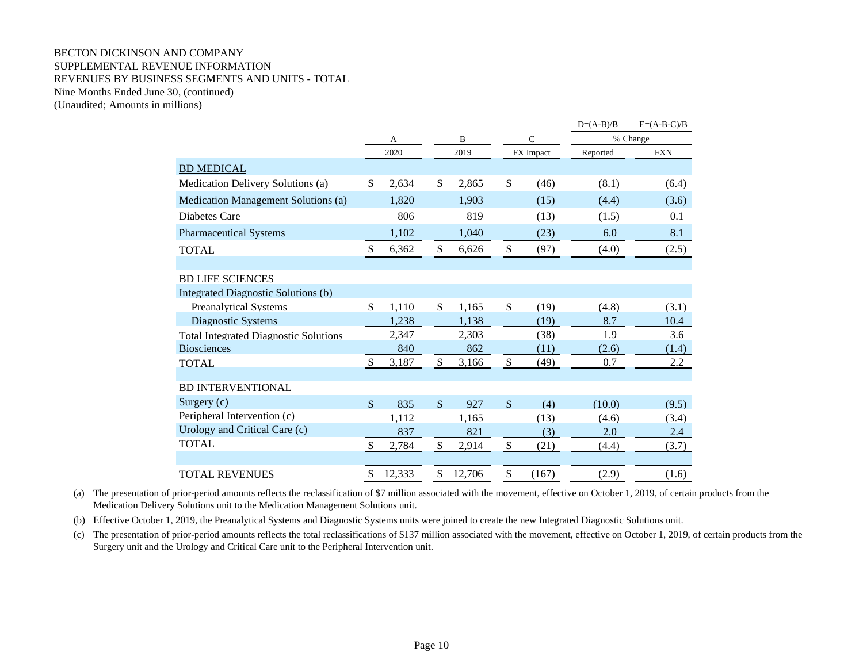## BECTON DICKINSON AND COMPANY SUPPLEMENTAL REVENUE INFORMATION REVENUES BY BUSINESS SEGMENTS AND UNITS - TOTAL Nine Months Ended June 30, (continued) (Unaudited; Amounts in millions)

|                                              |              |        |               |          |               |               | $D=(A-B)/B$ | $E=(A-B-C)/B$ |  |
|----------------------------------------------|--------------|--------|---------------|----------|---------------|---------------|-------------|---------------|--|
|                                              |              | A      |               | $\bf{B}$ |               | $\mathcal{C}$ |             | % Change      |  |
|                                              |              | 2020   |               | 2019     |               | FX Impact     | Reported    | <b>FXN</b>    |  |
| <b>BD MEDICAL</b>                            |              |        |               |          |               |               |             |               |  |
| Medication Delivery Solutions (a)            | \$           | 2,634  | \$            | 2,865    | \$            | (46)          | (8.1)       | (6.4)         |  |
| Medication Management Solutions (a)          |              | 1,820  |               | 1,903    |               | (15)          | (4.4)       | (3.6)         |  |
| Diabetes Care                                |              | 806    |               | 819      |               | (13)          | (1.5)       | 0.1           |  |
| <b>Pharmaceutical Systems</b>                |              | 1,102  |               | 1,040    |               | (23)          | 6.0         | 8.1           |  |
| <b>TOTAL</b>                                 | \$           | 6,362  | $\mathcal{S}$ | 6,626    | \$            | (97)          | (4.0)       | (2.5)         |  |
|                                              |              |        |               |          |               |               |             |               |  |
| <b>BD LIFE SCIENCES</b>                      |              |        |               |          |               |               |             |               |  |
| Integrated Diagnostic Solutions (b)          |              |        |               |          |               |               |             |               |  |
| <b>Preanalytical Systems</b>                 | \$           | 1,110  | \$            | 1,165    | \$            | (19)          | (4.8)       | (3.1)         |  |
| Diagnostic Systems                           |              | 1,238  |               | 1,138    |               | (19)          | 8.7         | 10.4          |  |
| <b>Total Integrated Diagnostic Solutions</b> |              | 2,347  |               | 2,303    |               | (38)          | 1.9         | 3.6           |  |
| <b>Biosciences</b>                           |              | 840    |               | 862      |               | (11)          | (2.6)       | (1.4)         |  |
| <b>TOTAL</b>                                 | $\mathbb{S}$ | 3,187  | $\mathcal{S}$ | 3,166    | $\mathbb{S}$  | (49)          | 0.7         | $2.2\,$       |  |
| <b>BD INTERVENTIONAL</b>                     |              |        |               |          |               |               |             |               |  |
|                                              |              |        |               |          |               |               |             |               |  |
| Surgery $(c)$                                | $\mathbb{S}$ | 835    | $\mathbb{S}$  | 927      | $\mathcal{S}$ | (4)           | (10.0)      | (9.5)         |  |
| Peripheral Intervention (c)                  |              | 1,112  |               | 1,165    |               | (13)          | (4.6)       | (3.4)         |  |
| Urology and Critical Care (c)                |              | 837    |               | 821      |               | (3)           | 2.0         | 2.4           |  |
| <b>TOTAL</b>                                 | \$           | 2,784  | $\mathcal{S}$ | 2,914    | \$            | (21)          | (4.4)       | (3.7)         |  |
| <b>TOTAL REVENUES</b>                        | \$           | 12,333 | \$            | 12,706   | \$            | (167)         | (2.9)       | (1.6)         |  |

(a) The presentation of prior-period amounts reflects the reclassification of \$7 million associated with the movement, effective on October 1, 2019, of certain products from the Medication Delivery Solutions unit to the Medication Management Solutions unit.

(b) Effective October 1, 2019, the Preanalytical Systems and Diagnostic Systems units were joined to create the new Integrated Diagnostic Solutions unit.

(c) The presentation of prior-period amounts reflects the total reclassifications of \$137 million associated with the movement, effective on October 1, 2019, of certain products from the Surgery unit and the Urology and Critical Care unit to the Peripheral Intervention unit.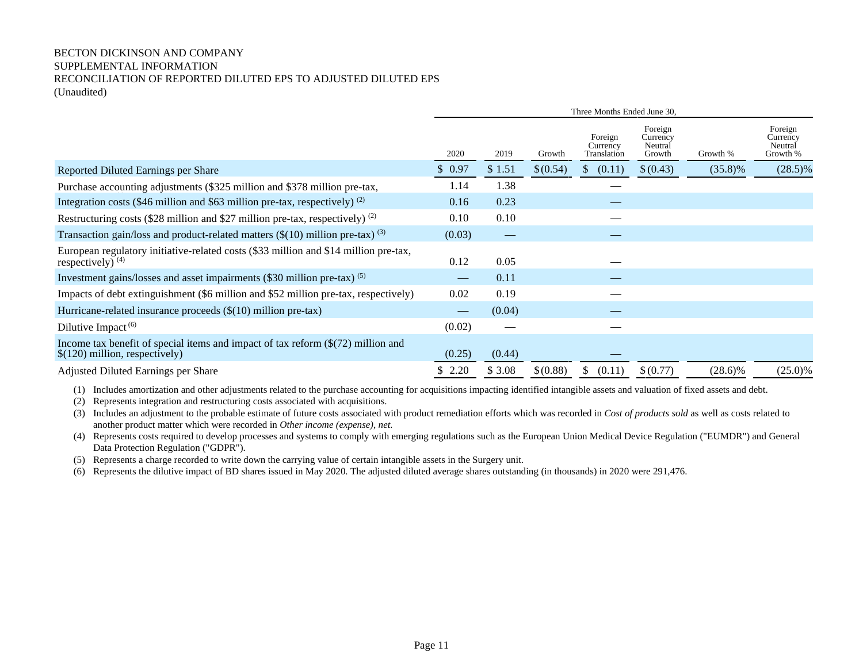## BECTON DICKINSON AND COMPANY SUPPLEMENTAL INFORMATION RECONCILIATION OF REPORTED DILUTED EPS TO ADJUSTED DILUTED EPS (Unaudited)

|                                                                                                                              | Three Months Ended June 30,    |                               |          |                                    |                                          |            |                                            |
|------------------------------------------------------------------------------------------------------------------------------|--------------------------------|-------------------------------|----------|------------------------------------|------------------------------------------|------------|--------------------------------------------|
|                                                                                                                              | 2020                           | 2019                          | Growth   | Foreign<br>Currency<br>Translation | Foreign<br>Currency<br>Neutral<br>Growth | Growth %   | Foreign<br>Currency<br>Neutral<br>Growth % |
| Reported Diluted Earnings per Share                                                                                          | \$0.97                         | \$1.51                        | \$(0.54) | (0.11)<br>S.                       | \$(0.43)                                 | $(35.8)\%$ | $(28.5)\%$                                 |
| Purchase accounting adjustments (\$325 million and \$378 million pre-tax,                                                    | 1.14                           | 1.38                          |          |                                    |                                          |            |                                            |
| Integration costs (\$46 million and \$63 million pre-tax, respectively) $^{(2)}$                                             | 0.16                           | 0.23                          |          |                                    |                                          |            |                                            |
| Restructuring costs (\$28 million and \$27 million pre-tax, respectively) $^{(2)}$                                           | 0.10                           | 0.10                          |          |                                    |                                          |            |                                            |
| Transaction gain/loss and product-related matters $(\$(10)$ million pre-tax) <sup>(3)</sup>                                  | (0.03)                         | $\overbrace{\phantom{12333}}$ |          |                                    |                                          |            |                                            |
| European regulatory initiative-related costs (\$33 million and \$14 million pre-tax,<br>respectively) $(4)$                  | 0.12                           | 0.05                          |          |                                    |                                          |            |                                            |
| Investment gains/losses and asset impairments (\$30 million pre-tax) <sup>(5)</sup>                                          | $\qquad \qquad \longleftarrow$ | 0.11                          |          |                                    |                                          |            |                                            |
| Impacts of debt extinguishment (\$6 million and \$52 million pre-tax, respectively)                                          | 0.02                           | 0.19                          |          |                                    |                                          |            |                                            |
| Hurricane-related insurance proceeds $(\$(10)$ million pre-tax)                                                              |                                | (0.04)                        |          |                                    |                                          |            |                                            |
| Dilutive Impact $(6)$                                                                                                        | (0.02)                         |                               |          |                                    |                                          |            |                                            |
| Income tax benefit of special items and impact of tax reform $(\frac{272}{})$ million and<br>$$(120)$ million, respectively) | (0.25)                         | (0.44)                        |          |                                    |                                          |            |                                            |
| Adjusted Diluted Earnings per Share                                                                                          | \$2.20                         | \$3.08                        | \$(0.88) | \$.<br>(0.11)                      | \$(0.77)                                 | $(28.6)\%$ | $(25.0)\%$                                 |

(1) Includes amortization and other adjustments related to the purchase accounting for acquisitions impacting identified intangible assets and valuation of fixed assets and debt.

- (2) Represents integration and restructuring costs associated with acquisitions.
- (3) Includes an adjustment to the probable estimate of future costs associated with product remediation efforts which was recorded in *Cost of products sold* as well as costs related to another product matter which were recorded in *Other income (expense), net.*
- (4) Represents costs required to develop processes and systems to comply with emerging regulations such as the European Union Medical Device Regulation ("EUMDR") and General Data Protection Regulation ("GDPR").

(5) Represents a charge recorded to write down the carrying value of certain intangible assets in the Surgery unit.

(6) Represents the dilutive impact of BD shares issued in May 2020. The adjusted diluted average shares outstanding (in thousands) in 2020 were 291,476.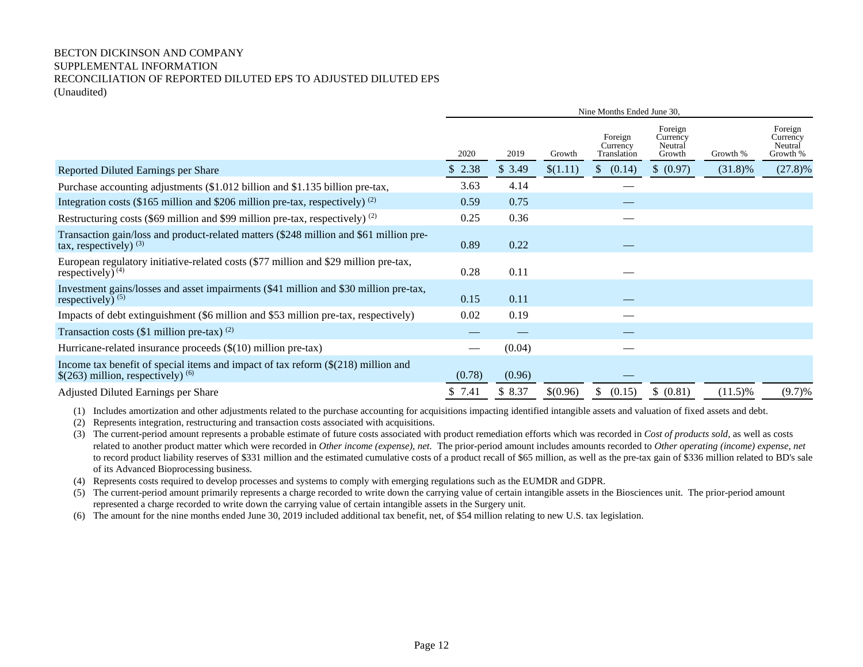## BECTON DICKINSON AND COMPANY SUPPLEMENTAL INFORMATION RECONCILIATION OF REPORTED DILUTED EPS TO ADJUSTED DILUTED EPS (Unaudited)

|                                                                                                                                              | Nine Months Ended June 30, |        |          |                                    |                                          |            |                                            |
|----------------------------------------------------------------------------------------------------------------------------------------------|----------------------------|--------|----------|------------------------------------|------------------------------------------|------------|--------------------------------------------|
|                                                                                                                                              | 2020                       | 2019   | Growth   | Foreign<br>Currency<br>Translation | Foreign<br>Currency<br>Neutral<br>Growth | Growth %   | Foreign<br>Currency<br>Neutral<br>Growth % |
| Reported Diluted Earnings per Share                                                                                                          | \$2.38                     | \$3.49 | \$(1.11) | $\mathcal{S}$<br>(0.14)            | \$ (0.97)                                | $(31.8)\%$ | $(27.8)\%$                                 |
| Purchase accounting adjustments (\$1.012 billion and \$1.135 billion pre-tax,                                                                | 3.63                       | 4.14   |          | __                                 |                                          |            |                                            |
| Integration costs (\$165 million and \$206 million pre-tax, respectively) $^{(2)}$                                                           | 0.59                       | 0.75   |          |                                    |                                          |            |                                            |
| Restructuring costs (\$69 million and \$99 million pre-tax, respectively) $^{(2)}$                                                           | 0.25                       | 0.36   |          |                                    |                                          |            |                                            |
| Transaction gain/loss and product-related matters (\$248 million and \$61 million pre-<br>tax, respectively) $(3)$                           | 0.89                       | 0.22   |          |                                    |                                          |            |                                            |
| European regulatory initiative-related costs (\$77 million and \$29 million pre-tax,<br>respectively) $(4)$                                  | 0.28                       | 0.11   |          |                                    |                                          |            |                                            |
| Investment gains/losses and asset impairments (\$41 million and \$30 million pre-tax,<br>respectively) $(5)$                                 | 0.15                       | 0.11   |          |                                    |                                          |            |                                            |
| Impacts of debt extinguishment (\$6 million and \$53 million pre-tax, respectively)                                                          | 0.02                       | 0.19   |          |                                    |                                          |            |                                            |
| Transaction costs (\$1 million pre-tax) $^{(2)}$                                                                                             |                            |        |          |                                    |                                          |            |                                            |
| Hurricane-related insurance proceeds $(\$(10)$ million pre-tax)                                                                              |                            | (0.04) |          |                                    |                                          |            |                                            |
| Income tax benefit of special items and impact of tax reform $(\frac{218}{9})$ million and<br>$$(263)$ million, respectively) <sup>(6)</sup> | (0.78)                     | (0.96) |          |                                    |                                          |            |                                            |
| Adjusted Diluted Earnings per Share                                                                                                          | \$7.41                     | \$8.37 | \$(0.96) | \$<br>(0.15)                       | \$ (0.81)                                | $(11.5)\%$ | (9.7)%                                     |

(1) Includes amortization and other adjustments related to the purchase accounting for acquisitions impacting identified intangible assets and valuation of fixed assets and debt.

(2) Represents integration, restructuring and transaction costs associated with acquisitions.

(3) The current-period amount represents a probable estimate of future costs associated with product remediation efforts which was recorded in *Cost of products sold,* as well as costs related to another product matter which were recorded in *Other income (expense), net.* The prior-period amount includes amounts recorded to *Other operating (income) expense, net* to record product liability reserves of \$331 million and the estimated cumulative costs of a product recall of \$65 million, as well as the pre-tax gain of \$336 million related to BD's sale of its Advanced Bioprocessing business.

(4) Represents costs required to develop processes and systems to comply with emerging regulations such as the EUMDR and GDPR.

(5) The current-period amount primarily represents a charge recorded to write down the carrying value of certain intangible assets in the Biosciences unit. The prior-period amount represented a charge recorded to write down the carrying value of certain intangible assets in the Surgery unit.

(6) The amount for the nine months ended June 30, 2019 included additional tax benefit, net, of \$54 million relating to new U.S. tax legislation.